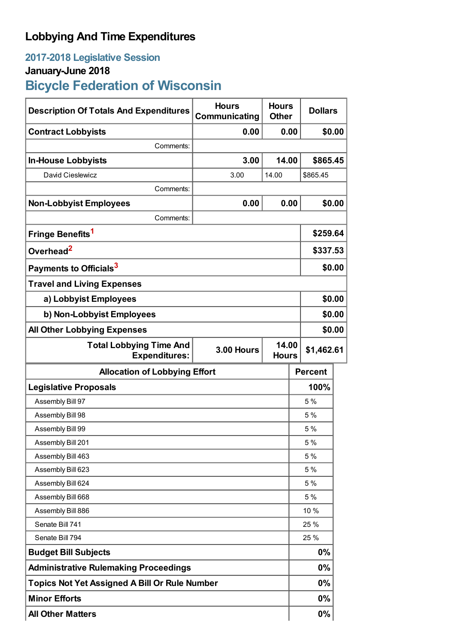## **Lobbying And Time Expenditures**

## **2017-2018 Legislative Session**

### **January-June 2018**

# **Bicycle Federation of Wisconsin**

| <b>Description Of Totals And Expenditures</b>          | <b>Hours</b><br>Communicating | <b>Hours</b><br><b>Other</b> |  | <b>Dollars</b> |        |
|--------------------------------------------------------|-------------------------------|------------------------------|--|----------------|--------|
| <b>Contract Lobbyists</b>                              | 0.00                          | 0.00                         |  | \$0.00         |        |
| Comments:                                              |                               |                              |  |                |        |
| <b>In-House Lobbyists</b>                              | 3.00                          | 14.00                        |  | \$865.45       |        |
| David Cieslewicz                                       | 3.00                          | 14.00                        |  | \$865.45       |        |
| Comments:                                              |                               |                              |  |                |        |
| <b>Non-Lobbyist Employees</b>                          | 0.00                          | 0.00                         |  |                | \$0.00 |
| Comments:                                              |                               |                              |  |                |        |
| Fringe Benefits <sup>1</sup>                           |                               |                              |  | \$259.64       |        |
| Overhead <sup>2</sup>                                  |                               |                              |  | \$337.53       |        |
| Payments to Officials <sup>3</sup>                     |                               |                              |  | \$0.00         |        |
| <b>Travel and Living Expenses</b>                      |                               |                              |  |                |        |
| a) Lobbyist Employees                                  |                               |                              |  | \$0.00         |        |
| b) Non-Lobbyist Employees                              |                               |                              |  | \$0.00         |        |
| <b>All Other Lobbying Expenses</b>                     |                               |                              |  | \$0.00         |        |
| <b>Total Lobbying Time And</b><br><b>Expenditures:</b> | <b>3.00 Hours</b>             | 14.00<br><b>Hours</b>        |  | \$1,462.61     |        |
| <b>Allocation of Lobbying Effort</b>                   |                               |                              |  | <b>Percent</b> |        |
| <b>Legislative Proposals</b>                           |                               |                              |  | 100%           |        |
| Assembly Bill 97                                       |                               |                              |  | 5 %            |        |
| Assembly Bill 98                                       |                               |                              |  | 5 %            |        |
| Assembly Bill 99                                       |                               |                              |  | 5 %            |        |
| Assembly Bill 201                                      |                               |                              |  | 5 %            |        |
| Assembly Bill 463                                      |                               |                              |  | 5 %            |        |
| Assembly Bill 623                                      |                               |                              |  | 5 %            |        |
| Assembly Bill 624                                      |                               |                              |  | 5 %            |        |
| Assembly Bill 668                                      |                               |                              |  | 5 %            |        |
| Assembly Bill 886                                      |                               |                              |  | 10 %           |        |
| Senate Bill 741                                        |                               |                              |  | 25 %           |        |
| Senate Bill 794                                        |                               |                              |  | 25 %           |        |
| <b>Budget Bill Subjects</b>                            |                               |                              |  | 0%             |        |
| <b>Administrative Rulemaking Proceedings</b>           |                               |                              |  | 0%             |        |
| <b>Topics Not Yet Assigned A Bill Or Rule Number</b>   |                               |                              |  | 0%             |        |
| <b>Minor Efforts</b>                                   |                               |                              |  | $0\%$          |        |
| <b>All Other Matters</b>                               |                               |                              |  | 0%             |        |